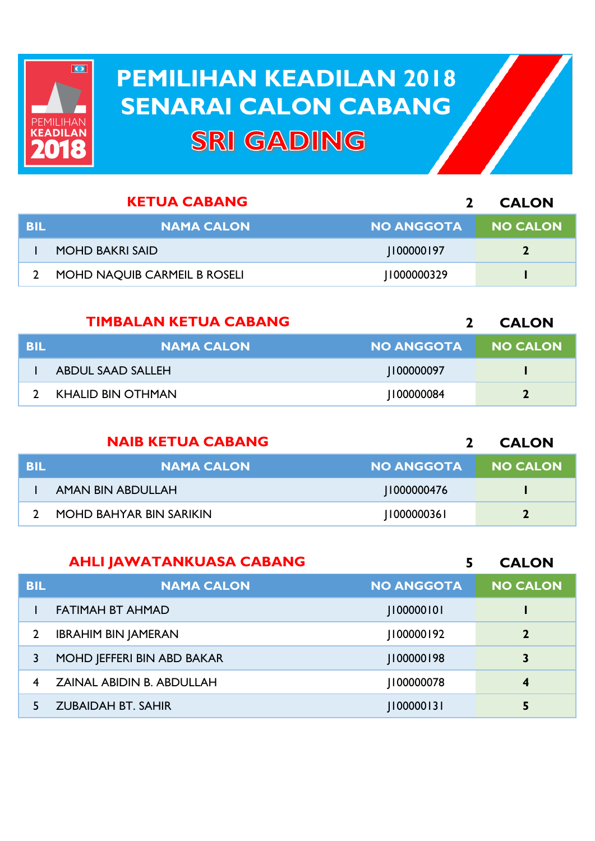

## **PEMILIHAN KEADILAN 2018 PEMILIHAN KEADILAN 2018 SENARAI CALON CABANG SENARAI CALON CABANGSRI GADING**

|     | <b>KETUA CABANG</b>          |                   | <b>CALON</b>    |
|-----|------------------------------|-------------------|-----------------|
| BIL | <b>NAMA CALON</b>            | <b>NO ANGGOTA</b> | <b>NO CALON</b> |
|     | <b>MOHD BAKRI SAID</b>       | 100000197         |                 |
|     | MOHD NAQUIB CARMEIL B ROSELI | 1000000329        |                 |

|            | <b>TIMBALAN KETUA CABANG</b> |                   | <b>CALON</b>    |
|------------|------------------------------|-------------------|-----------------|
| <b>BIL</b> | <b>NAMA CALON</b>            | <b>NO ANGGOTA</b> | <b>NO CALON</b> |
|            | ABDUL SAAD SALLEH            | 1100000097        |                 |
|            | KHALID BIN OTHMAN            | 100000084         |                 |

|            | <b>NAIB KETUA CABANG</b> |                   | <b>CALON</b>    |
|------------|--------------------------|-------------------|-----------------|
| <b>BIL</b> | <b>NAMA CALON</b>        | <b>NO ANGGOTA</b> | <b>NO CALON</b> |
|            | AMAN BIN ABDULLAH        | 1000000476        |                 |
|            | MOHD BAHYAR BIN SARIKIN  | 11000000361       | $\mathbf{2}$    |

|                | <b>AHLI JAWATANKUASA CABANG</b> | 5                 | <b>CALON</b>            |
|----------------|---------------------------------|-------------------|-------------------------|
| <b>BIL</b>     | <b>NAMA CALON</b>               | <b>NO ANGGOTA</b> | <b>NO CALON</b>         |
|                | <b>FATIMAH BT AHMAD</b>         | 100000101         |                         |
| $\overline{2}$ | <b>IBRAHIM BIN JAMERAN</b>      | 100000192         | $\mathbf{2}$            |
| 3              | MOHD JEFFERI BIN ABD BAKAR      | 100000198         | 3                       |
| 4              | ZAINAL ABIDIN B. ABDULLAH       | 100000078         | $\overline{\mathbf{4}}$ |
|                | <b>ZUBAIDAH BT. SAHIR</b>       | 100000131         | 5                       |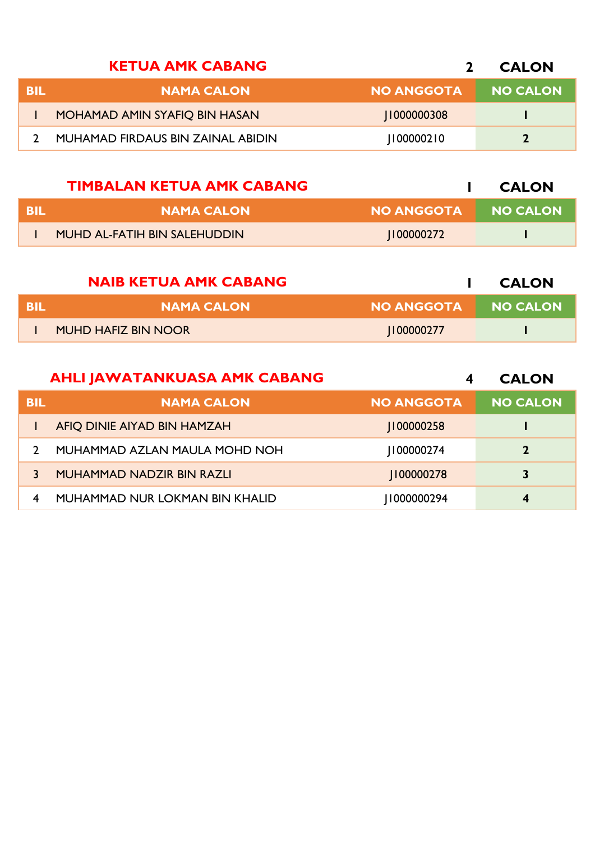|     | <b>KETUA AMK CABANG</b>           |                   | <b>CALON</b>    |
|-----|-----------------------------------|-------------------|-----------------|
| BIL | <b>NAMA CALON</b>                 | <b>NO ANGGOTA</b> | <b>NO CALON</b> |
|     | MOHAMAD AMIN SYAFIQ BIN HASAN     | 11000000308       |                 |
|     | MUHAMAD FIRDAUS BIN ZAINAL ABIDIN | 1100000210        | $\overline{2}$  |

|      | <b>TIMBALAN KETUA AMK CABANG</b> |                   | <b>CALON</b>    |
|------|----------------------------------|-------------------|-----------------|
| -BIL | <b>NAMA CALON</b>                | <b>NO ANGGOTA</b> | <b>NO CALON</b> |
|      | MUHD AL-FATIH BIN SALEHUDDIN     | 1100000272        |                 |

|      | <b>NAIB KETUA AMK CABANG</b> |                   | <b>CALON</b>    |
|------|------------------------------|-------------------|-----------------|
| -BIL | <b>NAMA CALON</b>            | <b>NO ANGGOTA</b> | <b>NO CALON</b> |
|      | <b>MUHD HAFIZ BIN NOOR</b>   | 100000277         |                 |

|            | <b>AHLI JAWATANKUASA AMK CABANG</b> | 4                 | <b>CALON</b>    |
|------------|-------------------------------------|-------------------|-----------------|
| <b>BIL</b> | <b>NAMA CALON</b>                   | <b>NO ANGGOTA</b> | <b>NO CALON</b> |
|            | AFIQ DINIE AIYAD BIN HAMZAH         | 100000258         |                 |
|            | MUHAMMAD AZLAN MAULA MOHD NOH       | 100000274         | $\overline{2}$  |
|            | MUHAMMAD NADZIR BIN RAZLI           | 100000278         | 3               |
| 4          | MUHAMMAD NUR LOKMAN BIN KHALID      | 1000000294        | 4               |